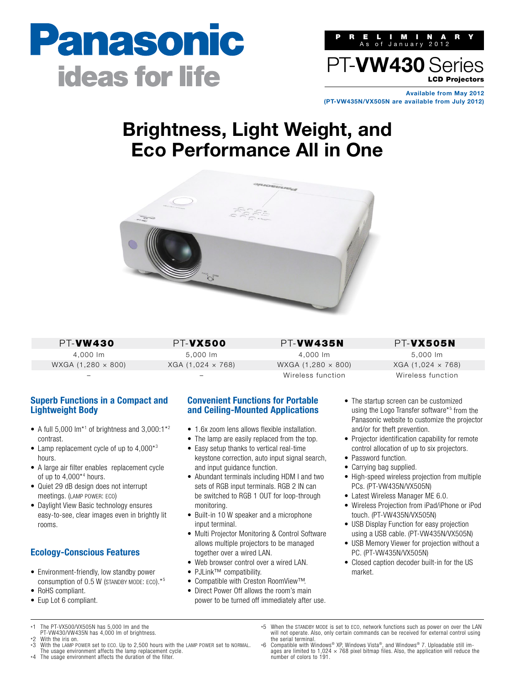



**Available from May 2012 (PT-VW435N/VX505N are available from July 2012)**

# **Brightness, Light Weight, and Eco Performance All in One**



PT-VW430 4,000 lm WXGA (1,280 × 800)

–

PT-VX500 5,000 lm XGA (1,024 × 768) –

PT-VW435N 4,000 lm WXGA (1,280 × 800) Wireless function

PT-VX505N 5,000 lm XGA (1,024 × 768)

Wireless function

### **Superb Functions in a Compact and Lightweight Body**

- A full 5,000  $\text{Im}^*$ <sup>1</sup> of brightness and 3,000:1<sup>\*2</sup> contrast.
- Lamp replacement cycle of up to 4,000<sup>\*3</sup> hours.
- A large air filter enables replacement cycle of up to  $4,000^{*4}$  hours.
- Quiet 29 dB design does not interrupt meetings. (LAMP POWER: ECO)
- Daylight View Basic technology ensures easy-to-see, clear images even in brightly lit rooms.

## **Ecology-Conscious Features**

- Environment-friendly, low standby power consumption of 0.5 W (STANDBY MODE: ECO).\*5
- RoHS compliant.
- Eup Lot 6 compliant.
- \*1 The PT-VX500/VX505N has 5,000 lm and the
- PT-VW430/VW435N has 4,000 lm of brightness.
- $*2$  With the iris on.<br> $*3$  With the LAMP P With the LAMP POWER set to ECO. Up to 2,500 hours with the LAMP POWER set to NORMAL.
- The usage environment affects the lamp replacement cycle. \*4 The usage environment affects the duration of the filter.

#### **Convenient Functions for Portable and Ceiling-Mounted Applications**

- 1.6x zoom lens allows flexible installation.
- The lamp are easily replaced from the top.
- Easy setup thanks to vertical real-time keystone correction, auto input signal search, and input quidance function.
- Abundant terminals including HDM I and two sets of RGB input terminals. RGB 2 IN can be switched to RGB 1 OUT for loop-through monitoring.
- Built-in 10 W speaker and a microphone input terminal.
- Multi Projector Monitoring & Control Software allows multiple projectors to be managed together over a wired LAN.
- Web browser control over a wired LAN.
- PJLink™ compatibility.
- Compatible with Creston RoomView™.
- Direct Power Off allows the room's main power to be turned off immediately after use.
- The startup screen can be customized using the Logo Transfer software<sup>\*5</sup> from the Panasonic website to customize the projector and/or for theft prevention.
- Projector identification capability for remote control allocation of up to six projectors.
- Password function.
- Carrying bag supplied.
- High-speed wireless projection from multiple PCs. (PT-VW435N/VX505N)
- Latest Wireless Manager ME 6.0.
- Wireless Projection from iPad/iPhone or iPod touch. (PT-VW435N/VX505N)
- USB Display Function for easy projection using a USB cable. (PT-VW435N/VX505N)
- USB Memory Viewer for projection without a PC. (PT-VW435N/VX505N)
- Closed caption decoder built-in for the US market.
- \*5 When the STANDBY MODE is set to ECO, network functions such as power on over the LAN will not operate. Also, only certain commands can be received for external control using the serial terminal.
- \*6 Compatible with Windows® XP, Windows Vista®, and Windows® 7. Uploadable still images are limited to 1,024 × 768 pixel bitmap files. Also, the application will reduce the number of colors to 191.